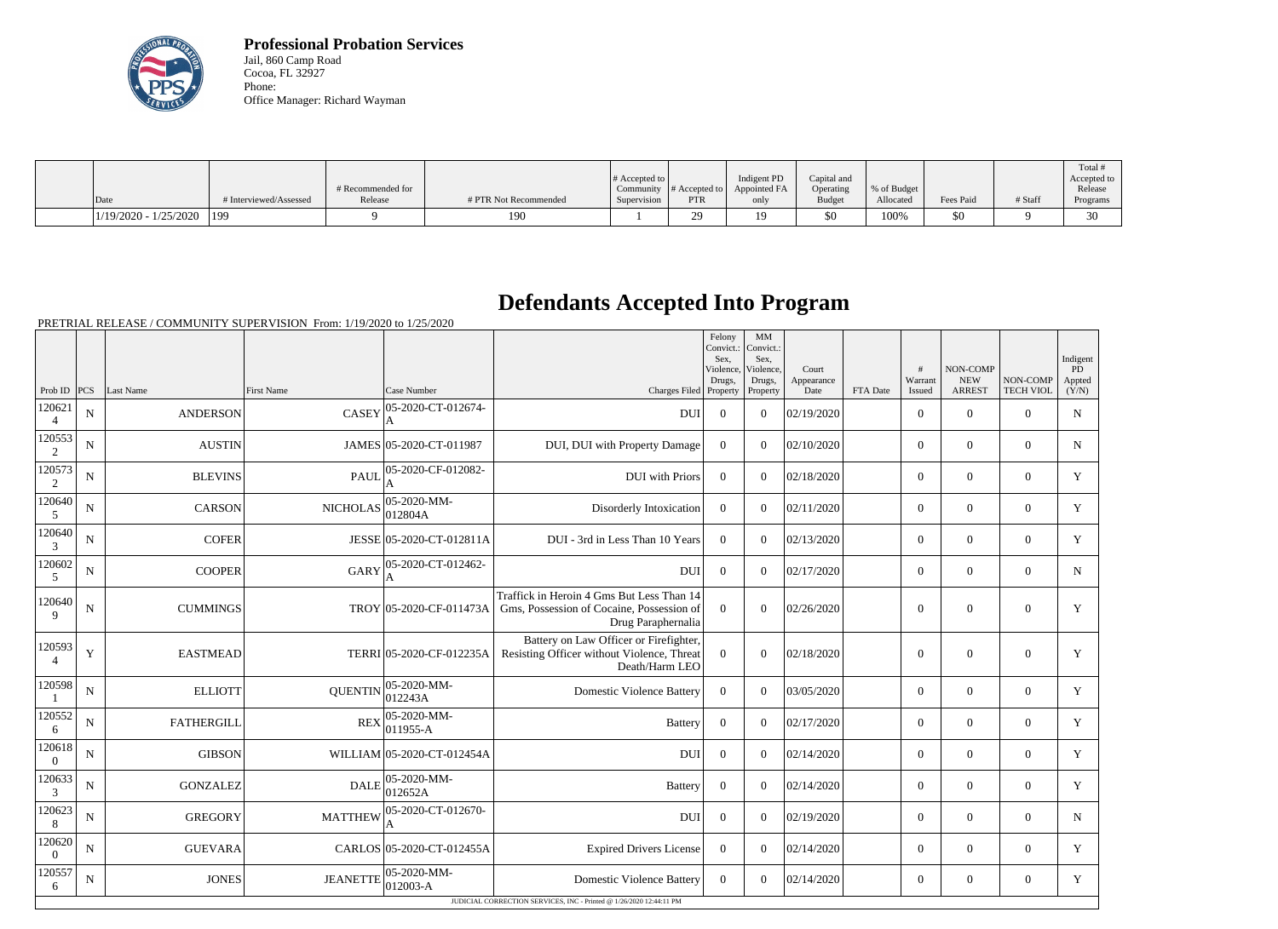

**Professional Probation Services** Jail, 860 Camp Road Cocoa, FL 32927 Phone: Office Manager: Richard Wayman

|                         |                        |                   |                       |                  |                     |              |               |             |           |         | Total !     |
|-------------------------|------------------------|-------------------|-----------------------|------------------|---------------------|--------------|---------------|-------------|-----------|---------|-------------|
|                         |                        |                   |                       | $\#$ Accepted to |                     | Indigent PD  | Capital and   |             |           |         | Accepted to |
|                         |                        | # Recommended for |                       | Community        | $\#$ Accepted to    | Appointed FA | Operating     | % of Budget |           |         | Release     |
| Date                    | # Interviewed/Assessed | Release           | # PTR Not Recommended | Supervision      | PTR                 | only         | <b>Budget</b> | Allocated   | Fees Paid | # Staff | Programs    |
| $1/19/2020 - 1/25/2020$ | 199                    |                   |                       |                  | $20^{\circ}$<br>ـ ت | 19           | \$0           | 100%        | \$0       |         | $\sim$      |

## **Defendants Accepted Into Program**

PRETRIAL RELEASE / COMMUNITY SUPERVISION From: 1/19/2020 to 1/25/2020

|                          |                |                   |                   |                            |                                                                                                              | Felony<br>Convict.:<br>Sex.<br>Violence.<br>Drugs. | MM<br>Convict.:<br>Sex,<br>Violence.<br>Drugs, | Court<br>Appearance |          | #<br>Warrant     | <b>NON-COMP</b><br><b>NEW</b> | NON-COMP         | Indigent<br>PD<br>Appted |
|--------------------------|----------------|-------------------|-------------------|----------------------------|--------------------------------------------------------------------------------------------------------------|----------------------------------------------------|------------------------------------------------|---------------------|----------|------------------|-------------------------------|------------------|--------------------------|
| Prob ID                  | <b>PCS</b>     | Last Name         | <b>First Name</b> | Case Number                | Charges Filed                                                                                                | Property                                           | Property                                       | Date                | FTA Date | <b>Issued</b>    | <b>ARREST</b>                 | <b>TECH VIOL</b> | (Y/N)                    |
| 120621<br>$\overline{4}$ | $\mathbf N$    | <b>ANDERSON</b>   | <b>CASEY</b>      | 05-2020-CT-012674-         | <b>DUI</b>                                                                                                   | $\overline{0}$                                     | $\overline{0}$                                 | 02/19/2020          |          | $\overline{0}$   | $\mathbf{0}$                  | $\overline{0}$   | $\mathbf N$              |
| 120553<br>2              | $\overline{N}$ | <b>AUSTIN</b>     |                   | JAMES 05-2020-CT-011987    | DUI, DUI with Property Damage                                                                                | $\overline{0}$                                     | $\theta$                                       | 02/10/2020          |          | $\overline{0}$   | $\mathbf{0}$                  | $\overline{0}$   | $\mathbf N$              |
| 120573<br>2              | ${\bf N}$      | <b>BLEVINS</b>    | <b>PAUI</b>       | 05-2020-CF-012082-         | <b>DUI</b> with Priors                                                                                       | $\theta$                                           | $\Omega$                                       | 02/18/2020          |          | $\overline{0}$   | $\boldsymbol{0}$              | $\theta$         | Y                        |
| 120640<br>5              | ${\bf N}$      | <b>CARSON</b>     | <b>NICHOLAS</b>   | 05-2020-MM-<br>012804A     | Disorderly Intoxication                                                                                      | $\mathbf{0}$                                       | $\Omega$                                       | 02/11/2020          |          | $\overline{0}$   | $\boldsymbol{0}$              | $\mathbf{0}$     | Y                        |
| 120640<br>3              | ${\bf N}$      | <b>COFER</b>      |                   | JESSE 05-2020-CT-012811A   | DUI - 3rd in Less Than 10 Years                                                                              | $\Omega$                                           | $\Omega$                                       | 02/13/2020          |          | $\overline{0}$   | $\Omega$                      | $\Omega$         | Y                        |
| 120602<br>5              | $\mathbf N$    | <b>COOPER</b>     | <b>GARY</b>       | 05-2020-CT-012462-<br>А    | <b>DUI</b>                                                                                                   | $\overline{0}$                                     | $\overline{0}$                                 | 02/17/2020          |          | $\overline{0}$   | $\mathbf{0}$                  | $\overline{0}$   | $\mathbf N$              |
| 120640<br>-9             | $\mathbf N$    | <b>CUMMINGS</b>   |                   | TROY 05-2020-CF-011473A    | Traffick in Heroin 4 Gms But Less Than 14<br>Gms, Possession of Cocaine, Possession of<br>Drug Paraphernalia | $\theta$                                           | $\theta$                                       | 02/26/2020          |          | $\boldsymbol{0}$ | $\mathbf{0}$                  | $\overline{0}$   | Y                        |
| 120593<br>$\overline{4}$ | $\mathbf Y$    | <b>EASTMEAD</b>   |                   | TERRI 05-2020-CF-012235A   | Battery on Law Officer or Firefighter,<br>Resisting Officer without Violence, Threat<br>Death/Harm LEO       | $\overline{0}$                                     | $\theta$                                       | 02/18/2020          |          | $\mathbf{0}$     | $\boldsymbol{0}$              | $\mathbf{0}$     | Y                        |
| 120598<br>$\mathbf{1}$   | ${\bf N}$      | <b>ELLIOTT</b>    | <b>QUENTIN</b>    | 05-2020-MM-<br>012243A     | <b>Domestic Violence Battery</b>                                                                             | $\mathbf{0}$                                       | $\Omega$                                       | 03/05/2020          |          | $\overline{0}$   | $\boldsymbol{0}$              | $\mathbf{0}$     | Y                        |
| 120552<br>6              | ${\bf N}$      | <b>FATHERGILL</b> | <b>REX</b>        | 05-2020-MM-<br>011955-A    | Battery                                                                                                      | $\Omega$                                           | $\Omega$                                       | 02/17/2020          |          | $\overline{0}$   | $\boldsymbol{0}$              | $\mathbf{0}$     | Y                        |
| 120618<br>$\mathbf{0}$   | ${\bf N}$      | <b>GIBSON</b>     |                   | WILLIAM 05-2020-CT-012454A | <b>DUI</b>                                                                                                   | $\overline{0}$                                     | $\Omega$                                       | 02/14/2020          |          | $\overline{0}$   | $\mathbf{0}$                  | $\overline{0}$   | Y                        |
| 120633<br>3              | ${\bf N}$      | <b>GONZALEZ</b>   | <b>DALE</b>       | 05-2020-MM-<br>012652A     | <b>Battery</b>                                                                                               | $\theta$                                           | $\Omega$                                       | 02/14/2020          |          | $\Omega$         | $\Omega$                      | $\Omega$         | Y                        |
| 120623<br>8              | ${\bf N}$      | <b>GREGORY</b>    | <b>MATTHEW</b>    | 05-2020-CT-012670-<br>A    | <b>DUI</b>                                                                                                   | $\overline{0}$                                     | $\overline{0}$                                 | 02/19/2020          |          | $\overline{0}$   | $\mathbf{0}$                  | $\overline{0}$   | $\mathbf N$              |
| 120620<br>$\overline{0}$ | $\mathbf N$    | <b>GUEVARA</b>    |                   | CARLOS 05-2020-CT-012455A  | <b>Expired Drivers License</b>                                                                               | $\overline{0}$                                     | $\Omega$                                       | 02/14/2020          |          | $\Omega$         | $\mathbf{0}$                  | $\overline{0}$   | Y                        |
| 120557<br>6              | $\mathbf N$    | <b>JONES</b>      | <b>JEANETTE</b>   | 05-2020-MM-<br>012003-A    | <b>Domestic Violence Battery</b>                                                                             | $\overline{0}$                                     | $\overline{0}$                                 | 02/14/2020          |          | $\overline{0}$   | $\mathbf{0}$                  | $\overline{0}$   | Y                        |
|                          |                |                   |                   |                            | JUDICIAL CORRECTION SERVICES, INC - Printed @ 1/26/2020 12:44:11 PM                                          |                                                    |                                                |                     |          |                  |                               |                  |                          |